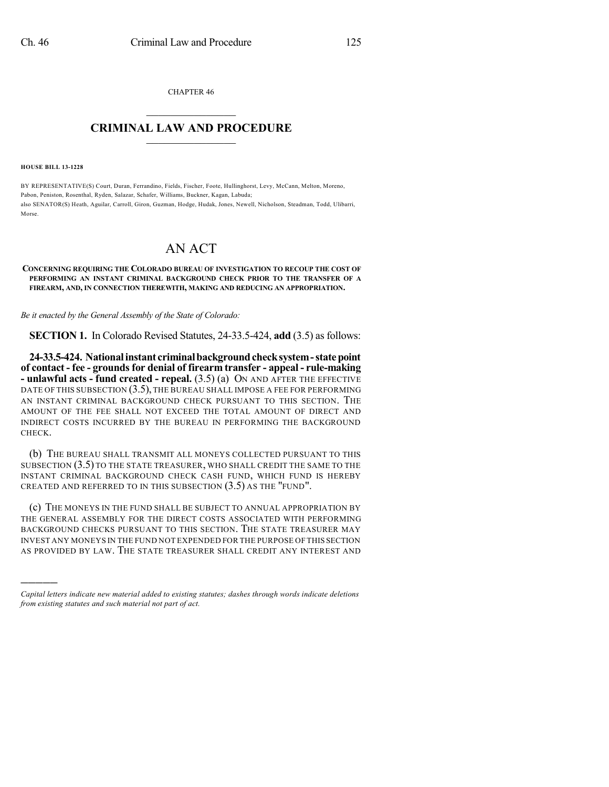CHAPTER 46  $\mathcal{L}_\text{max}$  . The set of the set of the set of the set of the set of the set of the set of the set of the set of the set of the set of the set of the set of the set of the set of the set of the set of the set of the set

## **CRIMINAL LAW AND PROCEDURE**  $\frac{1}{2}$  ,  $\frac{1}{2}$  ,  $\frac{1}{2}$  ,  $\frac{1}{2}$  ,  $\frac{1}{2}$  ,  $\frac{1}{2}$  ,  $\frac{1}{2}$

**HOUSE BILL 13-1228**

)))))

BY REPRESENTATIVE(S) Court, Duran, Ferrandino, Fields, Fischer, Foote, Hullinghorst, Levy, McCann, Melton, Moreno, Pabon, Peniston, Rosenthal, Ryden, Salazar, Schafer, Williams, Buckner, Kagan, Labuda; also SENATOR(S) Heath, Aguilar, Carroll, Giron, Guzman, Hodge, Hudak, Jones, Newell, Nicholson, Steadman, Todd, Ulibarri, Morse.

## AN ACT

## **CONCERNING REQUIRING THE COLORADO BUREAU OF INVESTIGATION TO RECOUP THE COST OF PERFORMING AN INSTANT CRIMINAL BACKGROUND CHECK PRIOR TO THE TRANSFER OF A FIREARM, AND, IN CONNECTION THEREWITH, MAKING AND REDUCING AN APPROPRIATION.**

*Be it enacted by the General Assembly of the State of Colorado:*

**SECTION 1.** In Colorado Revised Statutes, 24-33.5-424, **add** (3.5) as follows:

**24-33.5-424. Nationalinstant criminalbackgroundchecksystem-statepoint of contact - fee - groundsfor denial of firearm transfer - appeal - rule-making - unlawful acts - fund created - repeal.** (3.5) (a) ON AND AFTER THE EFFECTIVE DATE OF THIS SUBSECTION (3.5), THE BUREAU SHALL IMPOSE A FEE FOR PERFORMING AN INSTANT CRIMINAL BACKGROUND CHECK PURSUANT TO THIS SECTION. THE AMOUNT OF THE FEE SHALL NOT EXCEED THE TOTAL AMOUNT OF DIRECT AND INDIRECT COSTS INCURRED BY THE BUREAU IN PERFORMING THE BACKGROUND CHECK.

(b) THE BUREAU SHALL TRANSMIT ALL MONEYS COLLECTED PURSUANT TO THIS SUBSECTION (3.5) TO THE STATE TREASURER, WHO SHALL CREDIT THE SAME TO THE INSTANT CRIMINAL BACKGROUND CHECK CASH FUND, WHICH FUND IS HEREBY CREATED AND REFERRED TO IN THIS SUBSECTION  $(3.5)$  as the "FUND".

(c) THE MONEYS IN THE FUND SHALL BE SUBJECT TO ANNUAL APPROPRIATION BY THE GENERAL ASSEMBLY FOR THE DIRECT COSTS ASSOCIATED WITH PERFORMING BACKGROUND CHECKS PURSUANT TO THIS SECTION. THE STATE TREASURER MAY INVEST ANY MONEYS IN THE FUND NOT EXPENDED FOR THE PURPOSE OF THIS SECTION AS PROVIDED BY LAW. THE STATE TREASURER SHALL CREDIT ANY INTEREST AND

*Capital letters indicate new material added to existing statutes; dashes through words indicate deletions from existing statutes and such material not part of act.*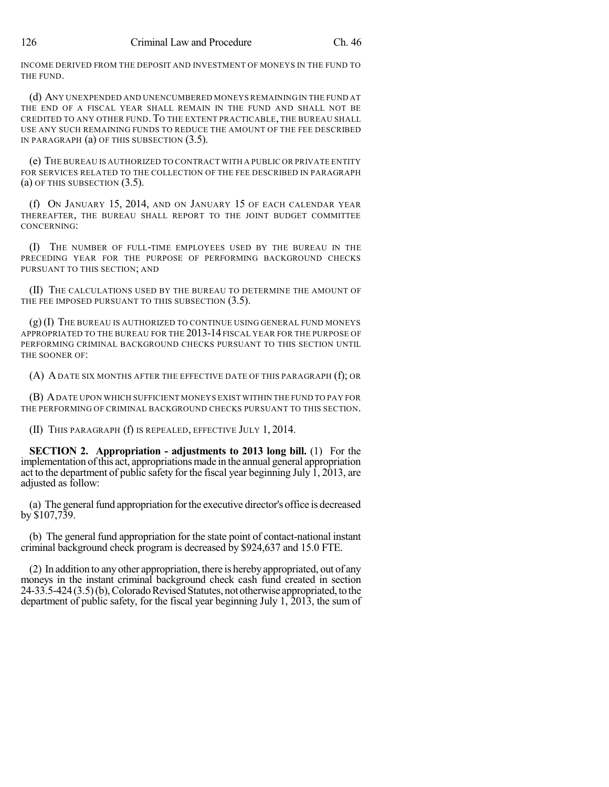INCOME DERIVED FROM THE DEPOSIT AND INVESTMENT OF MONEYS IN THE FUND TO THE FUND.

(d) ANY UNEXPENDED AND UNENCUMBERED MONEYS REMAINING IN THE FUND AT THE END OF A FISCAL YEAR SHALL REMAIN IN THE FUND AND SHALL NOT BE CREDITED TO ANY OTHER FUND. TO THE EXTENT PRACTICABLE, THE BUREAU SHALL USE ANY SUCH REMAINING FUNDS TO REDUCE THE AMOUNT OF THE FEE DESCRIBED IN PARAGRAPH (a) OF THIS SUBSECTION (3.5).

(e) THE BUREAU IS AUTHORIZED TO CONTRACT WITH A PUBLIC OR PRIVATE ENTITY FOR SERVICES RELATED TO THE COLLECTION OF THE FEE DESCRIBED IN PARAGRAPH (a) OF THIS SUBSECTION (3.5).

(f) ON JANUARY 15, 2014, AND ON JANUARY 15 OF EACH CALENDAR YEAR THEREAFTER, THE BUREAU SHALL REPORT TO THE JOINT BUDGET COMMITTEE CONCERNING:

(I) THE NUMBER OF FULL-TIME EMPLOYEES USED BY THE BUREAU IN THE PRECEDING YEAR FOR THE PURPOSE OF PERFORMING BACKGROUND CHECKS PURSUANT TO THIS SECTION; AND

(II) THE CALCULATIONS USED BY THE BUREAU TO DETERMINE THE AMOUNT OF THE FEE IMPOSED PURSUANT TO THIS SUBSECTION (3.5).

(g) (I) THE BUREAU IS AUTHORIZED TO CONTINUE USING GENERAL FUND MONEYS APPROPRIATED TO THE BUREAU FOR THE 2013-14 FISCAL YEAR FOR THE PURPOSE OF PERFORMING CRIMINAL BACKGROUND CHECKS PURSUANT TO THIS SECTION UNTIL THE SOONER OF:

(A) ADATE SIX MONTHS AFTER THE EFFECTIVE DATE OF THIS PARAGRAPH (f); OR

(B) ADATE UPON WHICH SUFFICIENT MONEYS EXIST WITHIN THE FUND TO PAY FOR THE PERFORMING OF CRIMINAL BACKGROUND CHECKS PURSUANT TO THIS SECTION.

(II) THIS PARAGRAPH (f) IS REPEALED, EFFECTIVE JULY 1, 2014.

**SECTION 2. Appropriation - adjustments to 2013 long bill.** (1) For the implementation ofthis act, appropriations made in the annual general appropriation act to the department of public safety for the fiscal year beginning July 1, 2013, are adjusted as follow:

(a) The general fund appropriation for the executive director's office is decreased by \$107,739.

(b) The general fund appropriation for the state point of contact-national instant criminal background check program is decreased by \$924,637 and 15.0 FTE.

(2) In addition to anyother appropriation, there is herebyappropriated, out of any moneys in the instant criminal background check cash fund created in section  $24-33.5-424(3.5)(b)$ , Colorado Revised Statutes, not otherwise appropriated, to the department of public safety, for the fiscal year beginning July 1, 2013, the sum of